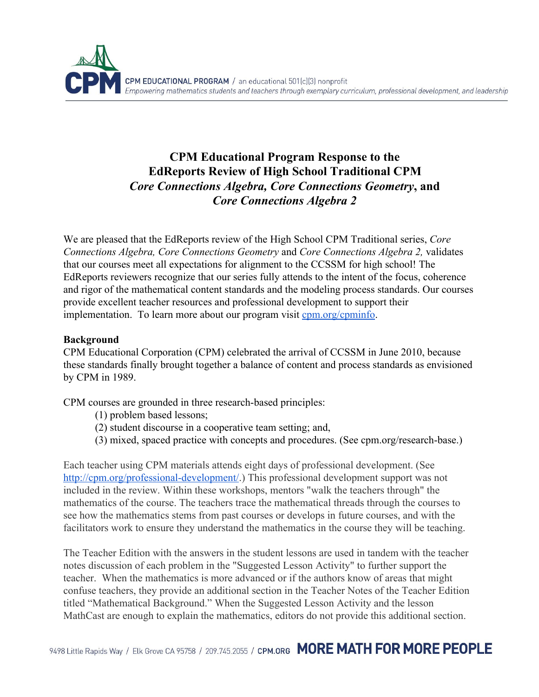

## **CPM Educational Program Response to the EdReports Review of High School Traditional CPM** *Core Connections Algebra, Core Connections Geometry***,and** *Core ConnectionsAlgebra 2*

We are pleased that the EdReports review of the High School CPM Traditional series, *Core Connections Algebra, Core Connections Geometry* and *Core Connections Algebra 2,* validates that our courses meet all expectations for alignment to the CCSSM for high school! The EdReports reviewers recognize that our series fully attends to the intent of the focus, coherence and rigor of the mathematical content standards and the modeling process standards. Our courses provide excellent teacher resources and professional development to support their implementation. To learn more about our program visit [cpm.org/cpminfo.](http://cpm.org/cpminfo)

## **Background**

CPM Educational Corporation (CPM) celebrated the arrival of CCSSM in June 2010, because these standards finally brought together a balance of content and process standards as envisioned by CPM in 1989.

CPM courses are grounded in three research-based principles:

- (1) problem based lessons;
- (2) student discourse in a cooperative team setting; and,
- (3) mixed, spaced practice with concepts and procedures. (See cpm.org/research-base.)

Each teacher using CPM materials attends eight days of professional development. (See http://cpm.org/professional-development/.) This professional development support was not included in the review. Within these workshops, mentors "walk the teachers through" the mathematics of the course. The teachers trace the mathematical threads through the courses to see how the mathematics stems from past courses or develops in future courses, and with the facilitators work to ensure they understand the mathematics in the course they will be teaching.

The Teacher Edition with the answers in the student lessons are used in tandem with the teacher notes discussion of each problem in the "Suggested Lesson Activity" to further support the teacher. When the mathematics is more advanced or if the authors know of areas that might confuse teachers, they provide an additional section in the Teacher Notes of the Teacher Edition titled "Mathematical Background." When the Suggested Lesson Activity and the lesson MathCast are enough to explain the mathematics, editors do not provide this additional section.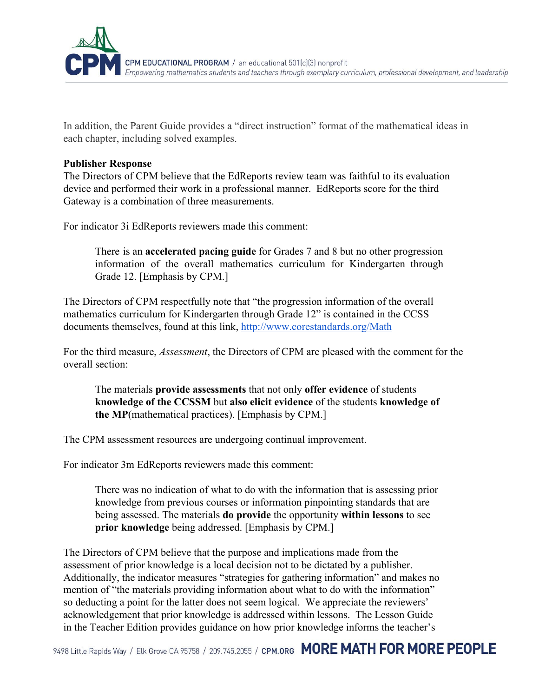

In addition, the Parent Guide provides a "direct instruction" format of the mathematical ideas in each chapter, including solved examples.

## **Publisher Response**

The Directors of CPM believe that the EdReports review team was faithful to its evaluation device and performed their work in a professional manner. EdReports score for the third Gateway is a combination of three measurements.

For indicator 3i EdReports reviewers made this comment:

There is an **accelerated pacing guide** for Grades 7 and 8 but no other progression information of the overall mathematics curriculum for Kindergarten through Grade 12. [Emphasis by CPM.]

The Directors of CPM respectfully note that "the progression information of the overall mathematics curriculum for Kindergarten through Grade 12" is contained in the CCSS documents themselves, found at this link, [http://www.corestandards.org/Math](http://www.corestandards.org/Math/)

For the third measure, *Assessment*, the Directors of CPM are pleased with the comment for the overall section:

The materials **provide assessments**that not only **offer evidence**of students **knowledge of the CCSSM**but **also elicit evidence**of the students **knowledge of the MP**(mathematical practices). [Emphasis by CPM.]

The CPM assessment resources are undergoing continual improvement.

For indicator 3m EdReports reviewers made this comment:

There was no indication of what to do with the information that is assessing prior knowledge from previous courses or information pinpointing standards that are being assessed. The materials **do provide**the opportunity **within lessons**to see **prior knowledge**being addressed. [Emphasis by CPM.]

The Directors of CPM believe that the purpose and implications made from the assessment of prior knowledge is a local decision not to be dictated by a publisher. Additionally, the indicator measures "strategies for gathering information" and makes no mention of "the materials providing information about what to do with the information" so deducting a point for the latter does not seem logical. We appreciate the reviewers' acknowledgement that prior knowledge is addressed within lessons. The Lesson Guide in the Teacher Edition provides guidance on how prior knowledge informs the teacher's

9498 Little Rapids Way / Elk Grove CA 95758 / 209.745.2055 / CPM.ORG MORE MATH FOR MORE PEOPLE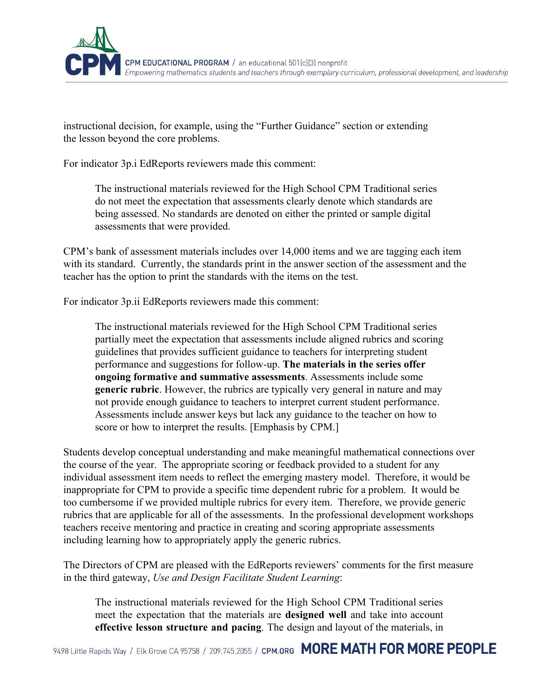

instructional decision, for example, using the "Further Guidance" section or extending the lesson beyond the core problems.

For indicator 3p.i EdReports reviewers made this comment:

The instructional materials reviewed for the High School CPM Traditional series do not meet the expectation that assessments clearly denote which standards are being assessed. No standards are denoted on either the printed or sample digital assessments that were provided.

CPM's bank of assessment materials includes over 14,000 items and we are tagging each item with its standard. Currently, the standards print in the answer section of the assessment and the teacher has the option to print the standards with the items on the test.

For indicator 3p.ii EdReports reviewers made this comment:

The instructional materials reviewed for the High School CPM Traditional series partially meet the expectation that assessments include aligned rubrics and scoring guidelines that provides sufficient guidance to teachers for interpreting student performance and suggestions for followup. **The materials in the series offer ongoing formative and summative assessments**. Assessments include some **generic rubric**. However, the rubrics are typically very general in nature and may not provide enough guidance to teachers to interpret current student performance. Assessments include answer keys but lack any guidance to the teacher on how to score or how to interpret the results. [Emphasis by CPM.]

Students develop conceptual understanding and make meaningful mathematical connections over the course of the year. The appropriate scoring or feedback provided to a student for any individual assessment item needs to reflect the emerging mastery model. Therefore, it would be inappropriate for CPM to provide a specific time dependent rubric for a problem. It would be too cumbersome if we provided multiple rubrics for every item. Therefore, we provide generic rubrics that are applicable for all of the assessments. In the professional development workshops teachers receive mentoring and practice in creating and scoring appropriate assessments including learning how to appropriately apply the generic rubrics.

The Directors of CPM are pleased with the EdReports reviewers' comments for the first measure in the third gateway, *Use and Design Facilitate Student Learning*:

The instructional materials reviewed for the High School CPM Traditional series meet the expectation that the materials are **designed well** and take into account **effective lesson structure and pacing**. The design and layout of the materials, in